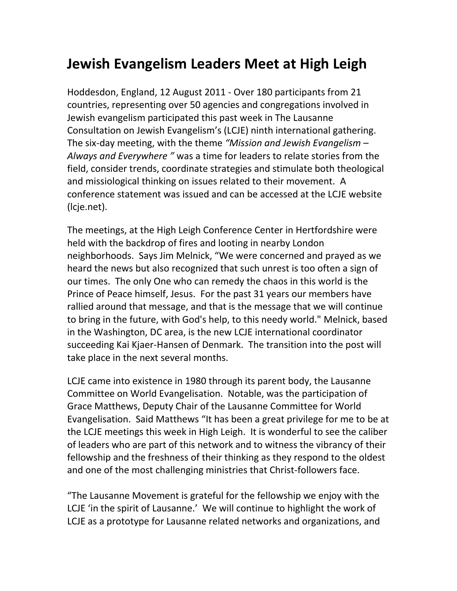## **Jewish Evangelism Leaders Meet at High Leigh**

Hoddesdon, England, 12 August 2011 - Over 180 participants from 21 countries, representing over 50 agencies and congregations involved in Jewish evangelism participated this past week in The Lausanne Consultation on Jewish Evangelism's (LCJE) ninth international gathering. The six-day meeting, with the theme *"Mission and Jewish Evangelism – Always and Everywhere "* was a time for leaders to relate stories from the field, consider trends, coordinate strategies and stimulate both theological and missiological thinking on issues related to their movement. A conference statement was issued and can be accessed at the LCJE website (lcje.net).

The meetings, at the High Leigh Conference Center in Hertfordshire were held with the backdrop of fires and looting in nearby London neighborhoods. Says Jim Melnick, "We were concerned and prayed as we heard the news but also recognized that such unrest is too often a sign of our times. The only One who can remedy the chaos in this world is the Prince of Peace himself, Jesus. For the past 31 years our members have rallied around that message, and that is the message that we will continue to bring in the future, with God's help, to this needy world." Melnick, based in the Washington, DC area, is the new LCJE international coordinator succeeding Kai Kjaer-Hansen of Denmark. The transition into the post will take place in the next several months.

LCJE came into existence in 1980 through its parent body, the Lausanne Committee on World Evangelisation. Notable, was the participation of Grace Matthews, Deputy Chair of the Lausanne Committee for World Evangelisation. Said Matthews "It has been a great privilege for me to be at the LCJE meetings this week in High Leigh. It is wonderful to see the caliber of leaders who are part of this network and to witness the vibrancy of their fellowship and the freshness of their thinking as they respond to the oldest and one of the most challenging ministries that Christ-followers face.

"The Lausanne Movement is grateful for the fellowship we enjoy with the LCJE 'in the spirit of Lausanne.' We will continue to highlight the work of LCJE as a prototype for Lausanne related networks and organizations, and